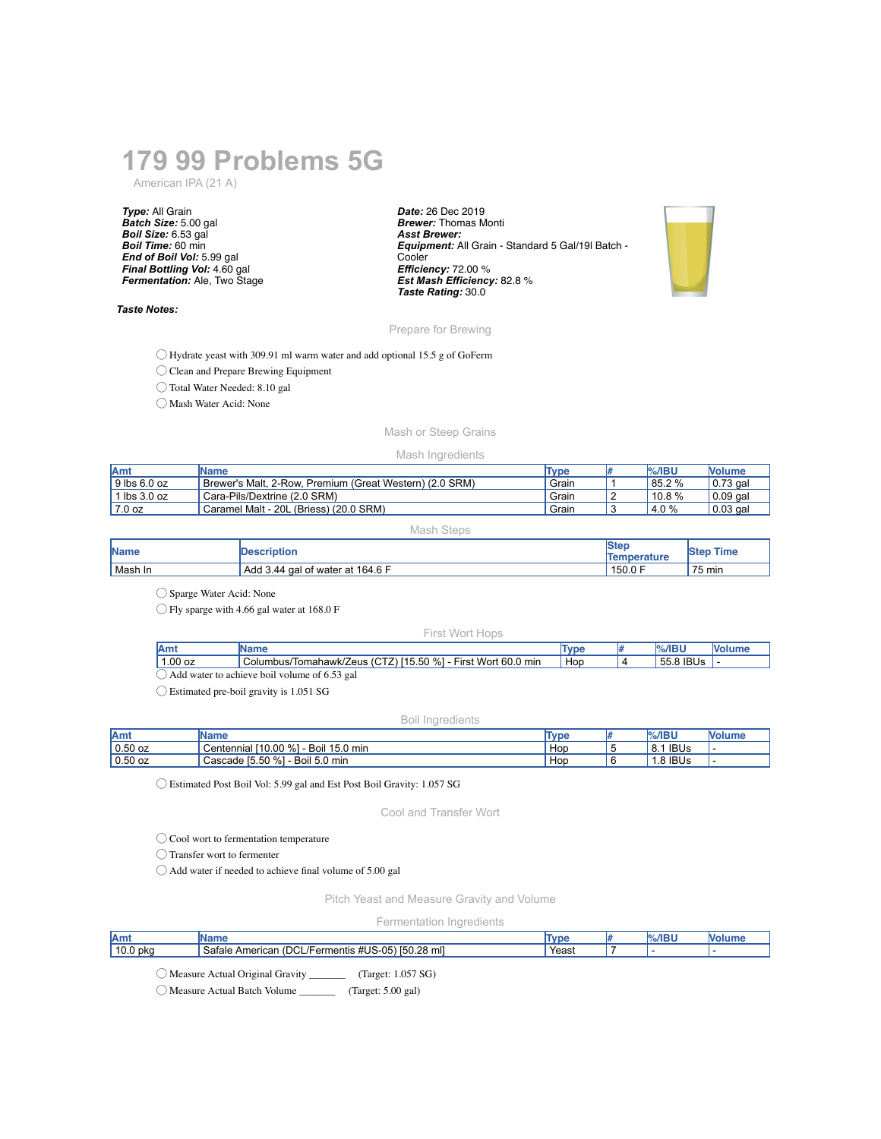# **179 99 Problems 5G**

American IPA (21 A)

*Type:* All Grain *Batch Size:* 5.00 gal *Boil Size:* 6.53 gal *Boil Time:* 60 min *End of Boil Vol:* 5.99 gal *Final Bottling Vol:* 4.60 gal *Fermentation:* Ale, Two Stage

#### *Taste Notes:*

*Date:* 26 Dec 2019 *Brewer:* Thomas Monti *Asst Brewer: Equipment:* All Grain - Standard 5 Gal/19l Batch - **Cooler** *Efficiency:* 72.00 % *Est Mash Efficiency:* 82.8 % *Taste Rating:* 30.0



### Prepare for Brewing

◯ Hydrate yeast with 309.91 ml warm water and add optional 15.5 g of GoFerm

◯ Clean and Prepare Brewing Equipment

◯ Total Water Needed: 8.10 gal

◯ Mash Water Acid: None

# Mash or Steep Grains

#### Mash Ingredients

| <b>Amt</b>           | IName                                                   | Type  | $\%$ /IBU | Nolume     |
|----------------------|---------------------------------------------------------|-------|-----------|------------|
| $\vert$ 9 lbs 6.0 oz | Brewer's Malt. 2-Row. Premium (Great Western) (2.0 SRM) | Grain | 85.2 %    | $0.73$ gal |
| l lbs 3.0 oz         | Cara-Pils/Dextrine (2.0 SRM)                            | Grain | $10.8\%$  | $0.09$ gal |
| 7.0 oz               | Caramel Malt - 20L (Briess) (20.0 SRM)                  | Grain | 4.0%      | $0.03$ gal |

Mash Steps

| <b>Name</b> | <b>Description</b>               | lSter<br><b>Temperature</b> | <b>Step Time</b> |
|-------------|----------------------------------|-----------------------------|------------------|
| Mash In     | Add 3.44 gal of water at 164.6 F | 150.0 F                     | 75 min           |

 $\bigcirc$ Sparge Water Acid: None

◯ Fly sparge with 4.66 gal water at 168.0 F

#### First Wort Hops

| <b>Am</b>                                    |                                                              |     |  | $%$ /IBU  | <b>Nolume</b> |  |
|----------------------------------------------|--------------------------------------------------------------|-----|--|-----------|---------------|--|
| 1.00 oz                                      | Columbus/Tomahawk/Zeus (CTZ) [15.50 %] - First Wort 60.0 min | Hop |  | 55.8 IBUs |               |  |
| Add water to achieve boil volume of 6.53 gal |                                                              |     |  |           |               |  |

◯ Estimated pre-boil gravity is 1.051 SG

Boil Ingredients

| Amt       | Name                                        | Type | $%$ /IBU           | Nolume |
|-----------|---------------------------------------------|------|--------------------|--------|
| $0.50$ oz | $10.00\%$<br>Boil<br>15.0 min<br>Centennial | Hop  | <b>IBUs</b><br>8.1 |        |
| $0.50$ oz | Cascade [5.50 %]<br>Boil 5.0 min            | Hop  | 1.8 IBUs           |        |

◯ Estimated Post Boil Vol: 5.99 gal and Est Post Boil Gravity: 1.057 SG

Cool and Transfer Wort

◯ Cool wort to fermentation temperature

◯ Transfer wort to fermenter

◯ Add water if needed to achieve final volume of 5.00 gal

Pitch Yeast and Measure Gravity and Volume

Fermentation Ingredients

| Amt           | ше                                                                    | Tyn  |  |  |
|---------------|-----------------------------------------------------------------------|------|--|--|
| 10.0<br>) pkc | ാഠ<br>150.28 mil<br>Satale<br>tUS-05<br>mentis<br>нсньаг<br>-11<br>-- | Yeas |  |  |
|               |                                                                       |      |  |  |

◯ Measure Actual Original Gravity \_\_\_\_\_\_\_ (Target: 1.057 SG)

◯ Measure Actual Batch Volume \_\_\_\_\_\_\_ (Target: 5.00 gal)